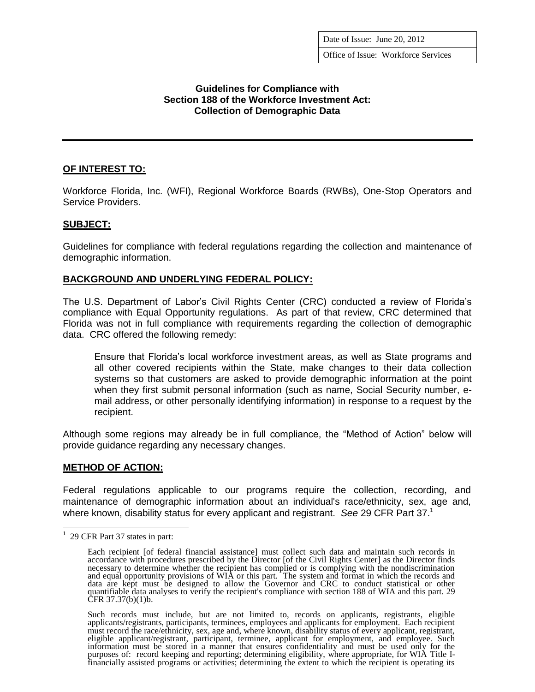Office of Issue: Workforce Services

# **Guidelines for Compliance with Section 188 of the Workforce Investment Act: Collection of Demographic Data**

# **OF INTEREST TO:**

Workforce Florida, Inc. (WFI), Regional Workforce Boards (RWBs), One-Stop Operators and Service Providers.

# **SUBJECT:**

Guidelines for compliance with federal regulations regarding the collection and maintenance of demographic information.

# **BACKGROUND AND UNDERLYING FEDERAL POLICY:**

The U.S. Department of Labor's Civil Rights Center (CRC) conducted a review of Florida's compliance with Equal Opportunity regulations. As part of that review, CRC determined that Florida was not in full compliance with requirements regarding the collection of demographic data. CRC offered the following remedy:

Ensure that Florida's local workforce investment areas, as well as State programs and all other covered recipients within the State, make changes to their data collection systems so that customers are asked to provide demographic information at the point when they first submit personal information (such as name, Social Security number, email address, or other personally identifying information) in response to a request by the recipient.

Although some regions may already be in full compliance, the "Method of Action" below will provide guidance regarding any necessary changes.

#### **METHOD OF ACTION:**

Federal regulations applicable to our programs require the collection, recording, and maintenance of demographic information about an individual's race/ethnicity, sex, age and, where known, disability status for every applicant and registrant. *See* 29 CFR Part 37. 1

 $\overline{a}$ 

 $1$  29 CFR Part 37 states in part:

Each recipient [of federal financial assistance] must collect such data and maintain such records in accordance with procedures prescribed by the Director [of the Civil Rights Center] as the Director finds necessary to determine whether the recipient has complied or is complying with the nondiscrimination and equal opportunity provisions of WIA or this part. The system and format in which the records and data are kept must be designed to allow the Governor and CRC to conduct statistical or other quantifiable data analyses to verify the recipient's compliance with section 188 of WIA and this part. 29 CFR 37.37(b)(1)b.

Such records must include, but are not limited to, records on applicants, registrants, eligible applicants/registrants, participants, terminees, employees and applicants for employment. Each recipient must record the race/ethnicity, sex, age and, where known, disability status of every applicant, registrant, eligible applicant/registrant, participant, terminee, applicant for employment, and employee. Such information must be stored in a manner that ensures confidentiality and must be used only for the purposes of: record keeping and reporting; determining eligibility, where appropriate, for WIA Title Ifinancially assisted programs or activities; determining the extent to which the recipient is operating its